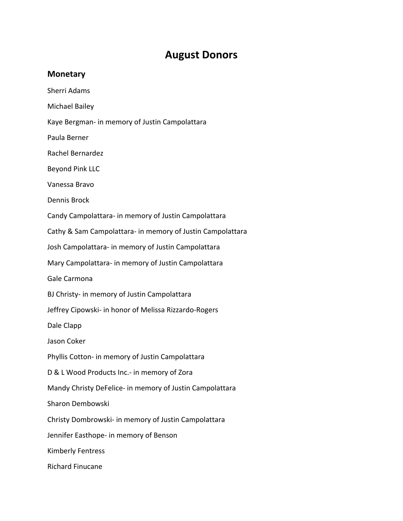## **August Donors**

## **Monetary**

Sherri Adams

Michael Bailey

Kaye Bergman‐ in memory of Justin Campolattara

Paula Berner

Rachel Bernardez

Beyond Pink LLC

Vanessa Bravo

Dennis Brock

Candy Campolattara‐ in memory of Justin Campolattara

Cathy & Sam Campolattara‐ in memory of Justin Campolattara

Josh Campolattara‐ in memory of Justin Campolattara

Mary Campolattara‐ in memory of Justin Campolattara

Gale Carmona

BJ Christy‐ in memory of Justin Campolattara

Jeffrey Cipowski‐ in honor of Melissa Rizzardo‐Rogers

Dale Clapp

Jason Coker

Phyllis Cotton‐ in memory of Justin Campolattara

D & L Wood Products Inc.‐ in memory of Zora

Mandy Christy DeFelice‐ in memory of Justin Campolattara

Sharon Dembowski

Christy Dombrowski‐ in memory of Justin Campolattara

Jennifer Easthope‐ in memory of Benson

Kimberly Fentress

Richard Finucane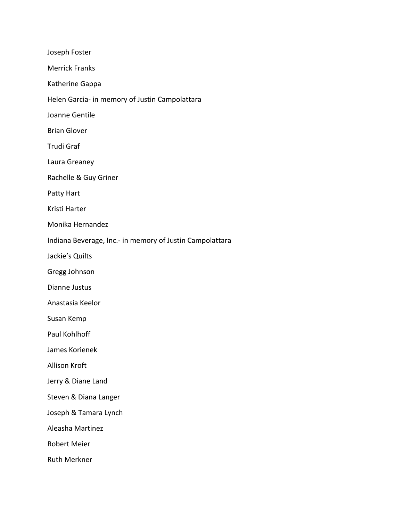| Joseph Foster                                            |
|----------------------------------------------------------|
| <b>Merrick Franks</b>                                    |
| Katherine Gappa                                          |
| Helen Garcia- in memory of Justin Campolattara           |
| Joanne Gentile                                           |
| <b>Brian Glover</b>                                      |
| <b>Trudi Graf</b>                                        |
| Laura Greaney                                            |
| Rachelle & Guy Griner                                    |
| Patty Hart                                               |
| Kristi Harter                                            |
| Monika Hernandez                                         |
| Indiana Beverage, Inc.- in memory of Justin Campolattara |
| Jackie's Quilts                                          |
| Gregg Johnson                                            |
| Dianne Justus                                            |
| Anastasia Keelor                                         |
| Susan Kemp                                               |
| Paul Kohlhoff                                            |
| James Korienek                                           |
| Allison Kroft                                            |
| Jerry & Diane Land                                       |
| Steven & Diana Langer                                    |
| Joseph & Tamara Lynch                                    |
| Aleasha Martinez                                         |
| <b>Robert Meier</b>                                      |
| <b>Ruth Merkner</b>                                      |
|                                                          |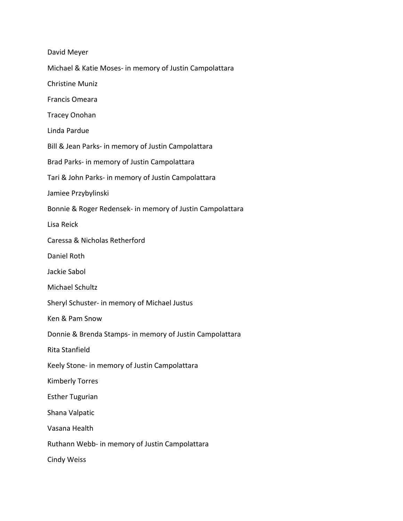| David Meyer                                               |
|-----------------------------------------------------------|
| Michael & Katie Moses- in memory of Justin Campolattara   |
| <b>Christine Muniz</b>                                    |
| Francis Omeara                                            |
| <b>Tracey Onohan</b>                                      |
| Linda Pardue                                              |
| Bill & Jean Parks- in memory of Justin Campolattara       |
| Brad Parks- in memory of Justin Campolattara              |
| Tari & John Parks- in memory of Justin Campolattara       |
| Jamiee Przybylinski                                       |
| Bonnie & Roger Redensek- in memory of Justin Campolattara |
| Lisa Reick                                                |
| Caressa & Nicholas Retherford                             |
| Daniel Roth                                               |
| Jackie Sabol                                              |
| Michael Schultz                                           |
| Sheryl Schuster- in memory of Michael Justus              |
| Ken & Pam Snow                                            |
| Donnie & Brenda Stamps- in memory of Justin Campolattara  |
| Rita Stanfield                                            |
| Keely Stone- in memory of Justin Campolattara             |
| <b>Kimberly Torres</b>                                    |
| <b>Esther Tugurian</b>                                    |
| Shana Valpatic                                            |
| Vasana Health                                             |
| Ruthann Webb- in memory of Justin Campolattara            |
| <b>Cindy Weiss</b>                                        |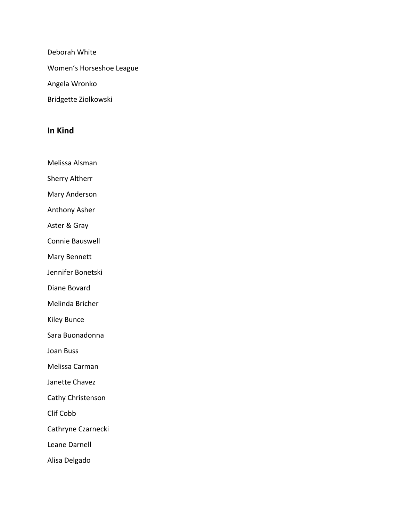Deborah White

Women's Horseshoe League

Angela Wronko

Bridgette Ziolkowski

## **In Kind**

Melissa Alsman

Sherry Altherr

Mary Anderson

Anthony Asher

Aster & Gray

Connie Bauswell

Mary Bennett

Jennifer Bonetski

Diane Bovard

Melinda Bricher

Kiley Bunce

Sara Buonadonna

Joan Buss

Melissa Carman

Janette Chavez

Cathy Christenson

Clif Cobb

Cathryne Czarnecki

Leane Darnell

Alisa Delgado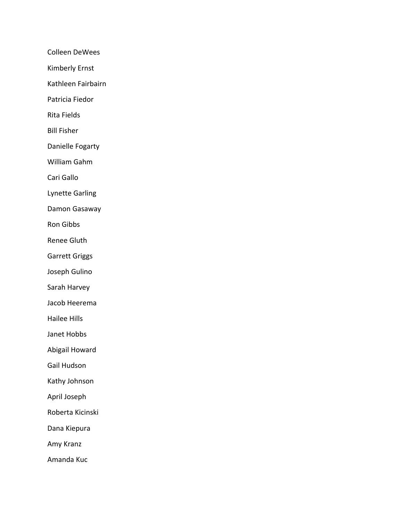Colleen DeWees

Kimberly Ernst

Kathleen Fairbairn

Patricia Fiedor

Rita Fields

Bill Fisher

Danielle Fogarty

William Gahm

Cari Gallo

Lynette Garling

Damon Gasaway

Ron Gibbs

Renee Gluth

Garrett Griggs

Joseph Gulino

Sarah Harvey

Jacob Heerema

Hailee Hills

Janet Hobbs

Abigail Howard

Gail Hudson

Kathy Johnson

April Joseph

Roberta Kicinski

Dana Kiepura

Amy Kranz

Amanda Kuc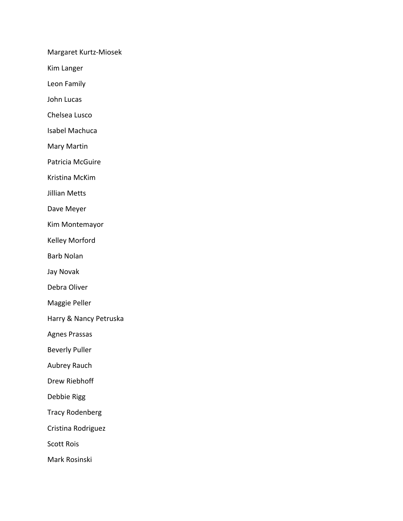Margaret Kurtz‐Miosek

Kim Langer

Leon Family

John Lucas

Chelsea Lusco

Isabel Machuca

Mary Martin

Patricia McGuire

Kristina McKim

Jillian Metts

Dave Meyer

Kim Montemayor

Kelley Morford

Barb Nolan

Jay Novak

Debra Oliver

Maggie Peller

Harry & Nancy Petruska

Agnes Prassas

Beverly Puller

Aubrey Rauch

Drew Riebhoff

Debbie Rigg

Tracy Rodenberg

Cristina Rodriguez

Scott Rois

Mark Rosinski